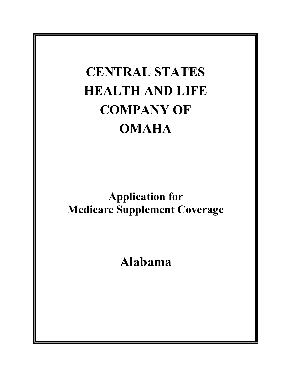# **CENTRAL STATES HEALTH AND LIFE COMPANY OF OMAHA**

**Application for Medicare Supplement Coverage**

**Alabama**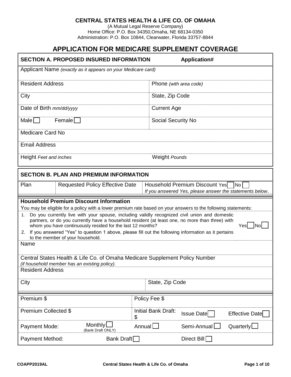#### **CENTRAL STATES HEALTH & LIFE CO. OF OMAHA**

(A Mutual Legal Reserve Company) Home Office: P.O. Box 34350,Omaha, NE 68134-0350 Administration: P.O. Box 10844, Clearwater, Florida 33757-8844

# **APPLICATION FOR MEDICARE SUPPLEMENT COVERAGE**

| <b>SECTION A. PROPOSED INSURED INFORMATION</b><br>Application#                                                                                                                                                                                                                                                                                                                                                                                                                                                                                                                                                                                                                                                                                                                                   |                           |                                                                                               |  |  |  |
|--------------------------------------------------------------------------------------------------------------------------------------------------------------------------------------------------------------------------------------------------------------------------------------------------------------------------------------------------------------------------------------------------------------------------------------------------------------------------------------------------------------------------------------------------------------------------------------------------------------------------------------------------------------------------------------------------------------------------------------------------------------------------------------------------|---------------------------|-----------------------------------------------------------------------------------------------|--|--|--|
| Applicant Name (exactly as it appears on your Medicare card)                                                                                                                                                                                                                                                                                                                                                                                                                                                                                                                                                                                                                                                                                                                                     |                           |                                                                                               |  |  |  |
| <b>Resident Address</b>                                                                                                                                                                                                                                                                                                                                                                                                                                                                                                                                                                                                                                                                                                                                                                          |                           | Phone (with area code)                                                                        |  |  |  |
| City                                                                                                                                                                                                                                                                                                                                                                                                                                                                                                                                                                                                                                                                                                                                                                                             | State, Zip Code           |                                                                                               |  |  |  |
| Date of Birth mm/dd/yyyy                                                                                                                                                                                                                                                                                                                                                                                                                                                                                                                                                                                                                                                                                                                                                                         | <b>Current Age</b>        |                                                                                               |  |  |  |
| Male $\Box$<br>Female $\Box$                                                                                                                                                                                                                                                                                                                                                                                                                                                                                                                                                                                                                                                                                                                                                                     | Social Security No        |                                                                                               |  |  |  |
| <b>Medicare Card No</b>                                                                                                                                                                                                                                                                                                                                                                                                                                                                                                                                                                                                                                                                                                                                                                          |                           |                                                                                               |  |  |  |
| <b>Email Address</b>                                                                                                                                                                                                                                                                                                                                                                                                                                                                                                                                                                                                                                                                                                                                                                             |                           |                                                                                               |  |  |  |
| Height Feet and inches                                                                                                                                                                                                                                                                                                                                                                                                                                                                                                                                                                                                                                                                                                                                                                           | <b>Weight Pounds</b>      |                                                                                               |  |  |  |
| <b>SECTION B. PLAN AND PREMIUM INFORMATION</b>                                                                                                                                                                                                                                                                                                                                                                                                                                                                                                                                                                                                                                                                                                                                                   |                           |                                                                                               |  |  |  |
| Plan<br><b>Requested Policy Effective Date</b>                                                                                                                                                                                                                                                                                                                                                                                                                                                                                                                                                                                                                                                                                                                                                   |                           | Household Premium Discount Yes No<br>If you answered Yes, please answer the statements below. |  |  |  |
| <b>Household Premium Discount Information</b><br>You may be eligible for a policy with a lower premium rate based on your answers to the following statements:<br>Do you currently live with your spouse, including validly recognized civil union and domestic<br>1.<br>partners, or do you currently have a household resident (at least one, no more than three) with<br>Yesl   Nol<br>whom you have continuously resided for the last 12 months?<br>2. If you answered "Yes" to question 1 above, please fill out the following information as it pertains<br>to the member of your household.<br>Name<br>Central States Health & Life Co. of Omaha Medicare Supplement Policy Number<br>(if household member has an existing policy).<br><b>Resident Address</b><br>City<br>State, Zip Code |                           |                                                                                               |  |  |  |
| Premium \$                                                                                                                                                                                                                                                                                                                                                                                                                                                                                                                                                                                                                                                                                                                                                                                       | Policy Fee \$             |                                                                                               |  |  |  |
| Premium Collected \$                                                                                                                                                                                                                                                                                                                                                                                                                                                                                                                                                                                                                                                                                                                                                                             | Initial Bank Draft:<br>\$ | <b>Issue Date</b><br>Effective Date                                                           |  |  |  |
| <b>Monthly</b><br>Payment Mode:<br>(Bank Draft ONLY)                                                                                                                                                                                                                                                                                                                                                                                                                                                                                                                                                                                                                                                                                                                                             | Annual                    | Semi-Annual<br>Quarterly                                                                      |  |  |  |
| Bank Draft $\Box$<br>Payment Method:                                                                                                                                                                                                                                                                                                                                                                                                                                                                                                                                                                                                                                                                                                                                                             |                           | Direct Bill                                                                                   |  |  |  |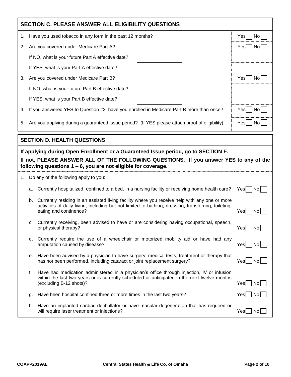| <b>SECTION C. PLEASE ANSWER ALL ELIGIBILITY QUESTIONS</b> |    |                                                                                                                                                                                                                                                |                    |  |
|-----------------------------------------------------------|----|------------------------------------------------------------------------------------------------------------------------------------------------------------------------------------------------------------------------------------------------|--------------------|--|
| 1.                                                        |    | Have you used tobacco in any form in the past 12 months?                                                                                                                                                                                       | No<br>Yesl         |  |
| 2.                                                        |    | Are you covered under Medicare Part A?                                                                                                                                                                                                         | Yes<br>  No        |  |
|                                                           |    | If NO, what is your future Part A effective date?                                                                                                                                                                                              |                    |  |
|                                                           |    | If YES, what is your Part A effective date?                                                                                                                                                                                                    |                    |  |
| 3.                                                        |    | Are you covered under Medicare Part B?                                                                                                                                                                                                         | Yes   No           |  |
|                                                           |    | If NO, what is your future Part B effective date?                                                                                                                                                                                              |                    |  |
|                                                           |    | If YES, what is your Part B effective date?                                                                                                                                                                                                    |                    |  |
| 4.                                                        |    | If you answered YES to Question #3, have you enrolled in Medicare Part B more than once?                                                                                                                                                       | Yes<br>  No        |  |
| 5.                                                        |    | Are you applying during a guaranteed issue period? (If YES please attach proof of eligibility).                                                                                                                                                | Yes   No           |  |
|                                                           |    | <b>SECTION D. HEALTH QUESTIONS</b>                                                                                                                                                                                                             |                    |  |
|                                                           |    | If applying during Open Enrollment or a Guaranteed Issue period, go to SECTION F.<br>If not, PLEASE ANSWER ALL OF THE FOLLOWING QUESTIONS. If you answer YES to any of the<br>following questions $1 - 6$ , you are not eligible for coverage. |                    |  |
| 1.                                                        |    | Do any of the following apply to you:                                                                                                                                                                                                          |                    |  |
|                                                           | a. | Currently hospitalized, confined to a bed, in a nursing facility or receiving home health care?                                                                                                                                                | No <br>Yesl        |  |
|                                                           | b. | Currently residing in an assisted living facility where you receive help with any one or more<br>activities of daily living, including but not limited to bathing, dressing, transferring, toileting,<br>eating and continence?                | No<br>Yesl         |  |
|                                                           | c. | Currently receiving, been advised to have or are considering having occupational, speech,<br>or physical therapy?                                                                                                                              | No<br>Yes          |  |
|                                                           | d. | Currently require the use of a wheelchair or motorized mobility aid or have had any<br>amputation caused by disease?                                                                                                                           | No <br>Yesl        |  |
|                                                           | е. | Have been advised by a physician to have surgery, medical tests, treatment or therapy that<br>has not been performed, including cataract or joint replacement surgery?                                                                         | $ $ No<br>Yes      |  |
|                                                           | f. | Have had medication administered in a physician's office through injection, IV or infusion<br>within the last two years or is currently scheduled or anticipated in the next twelve months<br>(excluding B-12 shots)?                          | $Yes \Box No \Box$ |  |
|                                                           | g. | Have been hospital confined three or more times in the last two years?                                                                                                                                                                         | Yes   No           |  |
|                                                           | h. | Have an implanted cardiac defibrillator or have macular degeneration that has required or<br>will require laser treatment or injections?                                                                                                       | No l<br>Yesl       |  |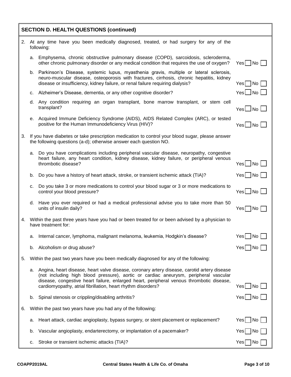| <b>SECTION D. HEALTH QUESTIONS (continued)</b> |    |                                                                                                                                                                                                                                                                                                                                                    |                                          |  |
|------------------------------------------------|----|----------------------------------------------------------------------------------------------------------------------------------------------------------------------------------------------------------------------------------------------------------------------------------------------------------------------------------------------------|------------------------------------------|--|
|                                                |    | 2. At any time have you been medically diagnosed, treated, or had surgery for any of the<br>following:                                                                                                                                                                                                                                             |                                          |  |
|                                                | a. | Emphysema, chronic obstructive pulmonary disease (COPD), sarcoidosis, scleroderma,<br>other chronic pulmonary disorder or any medical condition that requires the use of oxygen?                                                                                                                                                                   | $Yes \Box No \Box$                       |  |
|                                                | b. | Parkinson's Disease, systemic lupus, myasthenia gravis, multiple or lateral sclerosis,<br>neuro-muscular disease, osteoporosis with fractures, cirrhosis, chronic hepatitis, kidney<br>disease or insufficiency, kidney failure, or renal failure requiring dialysis?                                                                              | $Yes$ $No$                               |  |
|                                                | C. | Alzheimer's Disease, dementia, or any other cognitive disorder?                                                                                                                                                                                                                                                                                    | Yes No I                                 |  |
|                                                |    | d. Any condition requiring an organ transplant, bone marrow transplant, or stem cell<br>transplant?                                                                                                                                                                                                                                                | $Yes \Box No \Box$                       |  |
|                                                |    | e. Acquired Immune Deficiency Syndrome (AIDS), AIDS Related Complex (ARC), or tested<br>positive for the Human Immunodeficiency Virus (HIV)?                                                                                                                                                                                                       | Yes□No                                   |  |
| 3.                                             |    | If you have diabetes or take prescription medication to control your blood sugar, please answer<br>the following questions (a-d); otherwise answer each question NO.                                                                                                                                                                               |                                          |  |
|                                                | a. | Do you have complications including peripheral vascular disease, neuropathy, congestive<br>heart failure, any heart condition, kidney disease, kidney failure, or peripheral venous<br>thrombotic disease?                                                                                                                                         | $Yes \Box No \Box$                       |  |
|                                                | b. | Do you have a history of heart attack, stroke, or transient ischemic attack (TIA)?                                                                                                                                                                                                                                                                 | $Yes \nightharpoonup No \nightharpoonup$ |  |
|                                                | с. | Do you take 3 or more medications to control your blood sugar or 3 or more medications to<br>control your blood pressure?                                                                                                                                                                                                                          | $Yes \Box No \Box$                       |  |
|                                                | d. | Have you ever required or had a medical professional advise you to take more than 50<br>units of insulin daily?                                                                                                                                                                                                                                    | $Yes \Box No \Box$                       |  |
| 4.                                             |    | Within the past three years have you had or been treated for or been advised by a physician to<br>have treatment for:                                                                                                                                                                                                                              |                                          |  |
|                                                | a. | Internal cancer, lymphoma, malignant melanoma, leukemia, Hodgkin's disease?                                                                                                                                                                                                                                                                        | $Yes \Box No \Box$                       |  |
|                                                | b. | Alcoholism or drug abuse?                                                                                                                                                                                                                                                                                                                          | $Yes \Box No$                            |  |
| 5.                                             |    | Within the past two years have you been medically diagnosed for any of the following:                                                                                                                                                                                                                                                              |                                          |  |
|                                                |    | a. Angina, heart disease, heart valve disease, coronary artery disease, carotid artery disease<br>(not including high blood pressure), aortic or cardiac aneurysm, peripheral vascular<br>disease, congestive heart failure, enlarged heart, peripheral venous thrombotic disease,<br>cardiomyopathy, atrial fibrillation, heart rhythm disorders? | $Yes$ No $\Box$                          |  |
|                                                | b. | Spinal stenosis or crippling/disabling arthritis?                                                                                                                                                                                                                                                                                                  | $Yes$ No                                 |  |
| 6.                                             |    | Within the past two years have you had any of the following:                                                                                                                                                                                                                                                                                       |                                          |  |
|                                                | a. | Heart attack, cardiac angioplasty, bypass surgery, or stent placement or replacement?                                                                                                                                                                                                                                                              | $Yes \nightharpoonup No \nightharpoonup$ |  |
|                                                | b. | Vascular angioplasty, endarterectomy, or implantation of a pacemaker?                                                                                                                                                                                                                                                                              | $Yes \n  No \n $                         |  |
|                                                | с. | Stroke or transient ischemic attacks (TIA)?                                                                                                                                                                                                                                                                                                        | $Yes \nightharpoonup No \nightharpoonup$ |  |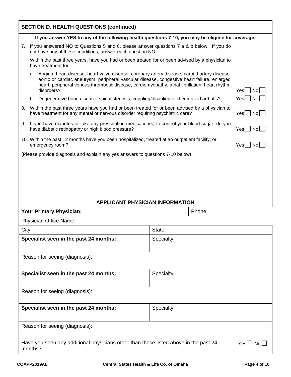| <b>SECTION D. HEALTH QUESTIONS (continued)</b>                                                                                                                                                                                                                                                                           |                                                                                                                                                         |                                                                                                                                                                                 |            |        |                                     |
|--------------------------------------------------------------------------------------------------------------------------------------------------------------------------------------------------------------------------------------------------------------------------------------------------------------------------|---------------------------------------------------------------------------------------------------------------------------------------------------------|---------------------------------------------------------------------------------------------------------------------------------------------------------------------------------|------------|--------|-------------------------------------|
|                                                                                                                                                                                                                                                                                                                          |                                                                                                                                                         | If you answer YES to any of the following health questions 7-10, you may be eligible for coverage.                                                                              |            |        |                                     |
| 7.                                                                                                                                                                                                                                                                                                                       | If you answered NO to Questions 5 and 6, please answer questions 7 a & b below. If you do<br>not have any of these conditions, answer each question NO. |                                                                                                                                                                                 |            |        |                                     |
|                                                                                                                                                                                                                                                                                                                          |                                                                                                                                                         | Within the past three years, have you had or been treated for or been advised by a physician to<br>have treatment for:                                                          |            |        |                                     |
| Angina, heart disease, heart valve disease, coronary artery disease, carotid artery disease,<br>а.<br>aortic or cardiac aneurysm, peripheral vascular disease, congestive heart failure, enlarged<br>heart, peripheral venous thrombotic disease, cardiomyopathy, atrial fibrillation, heart rhythm<br>disorders?<br>Yes |                                                                                                                                                         |                                                                                                                                                                                 |            |        | No                                  |
|                                                                                                                                                                                                                                                                                                                          | b.                                                                                                                                                      | Degenerative bone disease, spinal stenosis, crippling/disabling or rheumatoid arthritis?                                                                                        |            |        | $\overline{\phantom{a}}$ No<br>Yesl |
| 8.                                                                                                                                                                                                                                                                                                                       |                                                                                                                                                         | Within the past three years have you had or been treated for or been advised by a physician to<br>have treatment for any mental or nervous disorder requiring psychiatric care? |            |        | Yes   No                            |
| 9.                                                                                                                                                                                                                                                                                                                       |                                                                                                                                                         | If you have diabetes or take any prescription medication(s) to control your blood sugar, do you<br>have diabetic retinopathy or high blood pressure?                            |            |        | $Yes$ $No$                          |
|                                                                                                                                                                                                                                                                                                                          |                                                                                                                                                         | 10. Within the past 12 months have you been hospitalized, treated at an outpatient facility, or<br>emergency room?                                                              |            |        | $\overline{\phantom{a}}$ No<br>Yes  |
|                                                                                                                                                                                                                                                                                                                          |                                                                                                                                                         | (Please provide diagnosis and explain any yes answers to questions 7-10 below)                                                                                                  |            |        |                                     |
|                                                                                                                                                                                                                                                                                                                          |                                                                                                                                                         |                                                                                                                                                                                 |            |        |                                     |
|                                                                                                                                                                                                                                                                                                                          |                                                                                                                                                         |                                                                                                                                                                                 |            |        |                                     |
|                                                                                                                                                                                                                                                                                                                          |                                                                                                                                                         |                                                                                                                                                                                 |            |        |                                     |
|                                                                                                                                                                                                                                                                                                                          |                                                                                                                                                         |                                                                                                                                                                                 |            |        |                                     |
|                                                                                                                                                                                                                                                                                                                          |                                                                                                                                                         | <b>APPLICANT PHYSICIAN INFORMATION</b>                                                                                                                                          |            |        |                                     |
|                                                                                                                                                                                                                                                                                                                          |                                                                                                                                                         | <b>Your Primary Physician:</b>                                                                                                                                                  |            | Phone: |                                     |
|                                                                                                                                                                                                                                                                                                                          |                                                                                                                                                         | <b>Physician Office Name:</b>                                                                                                                                                   |            |        |                                     |
| City:                                                                                                                                                                                                                                                                                                                    |                                                                                                                                                         |                                                                                                                                                                                 | State:     |        |                                     |
|                                                                                                                                                                                                                                                                                                                          |                                                                                                                                                         | Specialist seen in the past 24 months:                                                                                                                                          | Specialty: |        |                                     |
|                                                                                                                                                                                                                                                                                                                          |                                                                                                                                                         |                                                                                                                                                                                 |            |        |                                     |
|                                                                                                                                                                                                                                                                                                                          |                                                                                                                                                         | Reason for seeing (diagnosis):                                                                                                                                                  |            |        |                                     |
|                                                                                                                                                                                                                                                                                                                          |                                                                                                                                                         | Specialist seen in the past 24 months:                                                                                                                                          | Specialty: |        |                                     |
|                                                                                                                                                                                                                                                                                                                          |                                                                                                                                                         |                                                                                                                                                                                 |            |        |                                     |
|                                                                                                                                                                                                                                                                                                                          | Reason for seeing (diagnosis):                                                                                                                          |                                                                                                                                                                                 |            |        |                                     |
|                                                                                                                                                                                                                                                                                                                          |                                                                                                                                                         | Specialist seen in the past 24 months:                                                                                                                                          | Specialty: |        |                                     |
| Reason for seeing (diagnosis):                                                                                                                                                                                                                                                                                           |                                                                                                                                                         |                                                                                                                                                                                 |            |        |                                     |
| Have you seen any additional physicians other than those listed above in the past 24<br>$Yes \Box No \Box$<br>months?                                                                                                                                                                                                    |                                                                                                                                                         |                                                                                                                                                                                 |            |        |                                     |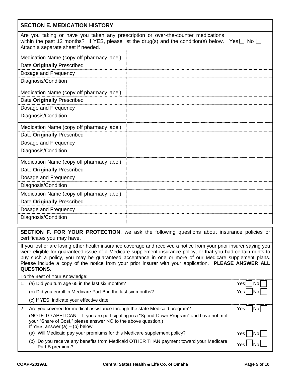| <b>SECTION E. MEDICATION HISTORY</b>                                                                                                                                                                                                            |  |  |  |  |
|-------------------------------------------------------------------------------------------------------------------------------------------------------------------------------------------------------------------------------------------------|--|--|--|--|
| Are you taking or have you taken any prescription or over-the-counter medications<br>within the past 12 months? If YES, please list the drug(s) and the condition(s) below.<br>Yes $\square$ No $\square$<br>Attach a separate sheet if needed. |  |  |  |  |
| Medication Name (copy off pharmacy label)                                                                                                                                                                                                       |  |  |  |  |
| Date Originally Prescribed                                                                                                                                                                                                                      |  |  |  |  |
| Dosage and Frequency                                                                                                                                                                                                                            |  |  |  |  |
| Diagnosis/Condition                                                                                                                                                                                                                             |  |  |  |  |
| Medication Name (copy off pharmacy label)                                                                                                                                                                                                       |  |  |  |  |
| Date Originally Prescribed                                                                                                                                                                                                                      |  |  |  |  |
| Dosage and Frequency                                                                                                                                                                                                                            |  |  |  |  |
| Diagnosis/Condition                                                                                                                                                                                                                             |  |  |  |  |
| Medication Name (copy off pharmacy label)                                                                                                                                                                                                       |  |  |  |  |
| Date Originally Prescribed                                                                                                                                                                                                                      |  |  |  |  |
| Dosage and Frequency                                                                                                                                                                                                                            |  |  |  |  |
| Diagnosis/Condition                                                                                                                                                                                                                             |  |  |  |  |
| Medication Name (copy off pharmacy label)                                                                                                                                                                                                       |  |  |  |  |
| Date Originally Prescribed                                                                                                                                                                                                                      |  |  |  |  |
| Dosage and Frequency                                                                                                                                                                                                                            |  |  |  |  |
| Diagnosis/Condition                                                                                                                                                                                                                             |  |  |  |  |
| Medication Name (copy off pharmacy label)                                                                                                                                                                                                       |  |  |  |  |
| Date Originally Prescribed                                                                                                                                                                                                                      |  |  |  |  |
| Dosage and Frequency                                                                                                                                                                                                                            |  |  |  |  |
| Diagnosis/Condition                                                                                                                                                                                                                             |  |  |  |  |
| SECTION F. FOR YOUR PROTECTION, we ask the following questions about insurance policies or<br>certificates you may have.                                                                                                                        |  |  |  |  |

If you lost or are losing other health insurance coverage and received a notice from your prior insurer saying you were eligible for guaranteed issue of a Medicare supplement insurance policy, or that you had certain rights to buy such a policy, you may be guaranteed acceptance in one or more of our Medicare supplement plans. Please include a copy of the notice from your prior insurer with your application. **PLEASE ANSWER ALL QUESTIONS.**

## To the Best of Your Knowledge: 1. (a) Did you turn age 65 in the last six months? The state of the state of the No Yes No Yes No (b) Did you enroll in Medicare Part B in the last six months? The North State North State North State North State North State North State North State North State North State North State North State North State North State (c) If YES, indicate your effective date. 2. Are you covered for medical assistance through the state Medicaid program? Yes No (NOTE TO APPLICANT: If you are participating in a "Spend-Down Program" and have not met your "Share of Cost," please answer NO to the above question.) If YES, answer  $(a) - (b)$  below. (a) Will Medicaid pay your premiums for this Medicare supplement policy? Yes (b) Do you receive any benefits from Medicaid OTHER THAN payment toward your Medicare Yes No<br>Part B premium?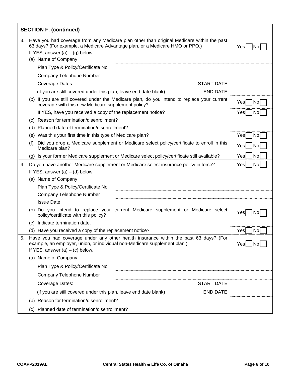|    | <b>SECTION F. (continued)</b>     |                                                                                                                                                                                                        |                  |  |  |
|----|-----------------------------------|--------------------------------------------------------------------------------------------------------------------------------------------------------------------------------------------------------|------------------|--|--|
| 3. |                                   | Have you had coverage from any Medicare plan other than original Medicare within the past<br>63 days? (For example, a Medicare Advantage plan, or a Medicare HMO or PPO.)                              |                  |  |  |
|    | If YES, answer $(a) - (g)$ below. |                                                                                                                                                                                                        |                  |  |  |
|    |                                   | (a) Name of Company                                                                                                                                                                                    |                  |  |  |
|    |                                   | Plan Type & Policy/Certificate No                                                                                                                                                                      |                  |  |  |
|    |                                   | Company Telephone Number                                                                                                                                                                               |                  |  |  |
|    |                                   | <b>START DATE</b><br>Coverage Dates:                                                                                                                                                                   |                  |  |  |
|    |                                   | <b>END DATE</b><br>(if you are still covered under this plan, leave end date blank)                                                                                                                    |                  |  |  |
|    |                                   | (b) If you are still covered under the Medicare plan, do you intend to replace your current<br>coverage with this new Medicare supplement policy?                                                      | Yesl<br> No      |  |  |
|    |                                   | If YES, have you received a copy of the replacement notice?                                                                                                                                            | No<br>Yes        |  |  |
|    |                                   | (c) Reason for termination/disenrollment?                                                                                                                                                              |                  |  |  |
|    |                                   | (d) Planned date of termination/disenrollment?                                                                                                                                                         |                  |  |  |
|    |                                   | (e) Was this your first time in this type of Medicare plan?                                                                                                                                            | Yes<br>No        |  |  |
|    | (f)                               | Did you drop a Medicare supplement or Medicare select policy/certificate to enroll in this<br>Medicare plan?                                                                                           | No<br>Yesl       |  |  |
|    | (g)                               | Is your former Medicare supplement or Medicare select policy/certificate still available?                                                                                                              | No<br>Yes        |  |  |
| 4. |                                   | Do you have another Medicare supplement or Medicare select insurance policy in force?                                                                                                                  | <b>No</b><br>Yes |  |  |
|    |                                   | If YES, answer $(a) - (d)$ below.                                                                                                                                                                      |                  |  |  |
|    |                                   | (a) Name of Company                                                                                                                                                                                    |                  |  |  |
|    |                                   | Plan Type & Policy/Certificate No                                                                                                                                                                      |                  |  |  |
|    |                                   | Company Telephone Number                                                                                                                                                                               |                  |  |  |
|    |                                   | <b>Issue Date</b>                                                                                                                                                                                      |                  |  |  |
|    |                                   | (b) Do you intend to replace your current Medicare supplement or Medicare select<br>policy/certificate with this policy?                                                                               | Yesl<br>N0       |  |  |
|    | (C)                               | Indicate termination date.                                                                                                                                                                             |                  |  |  |
|    |                                   | (d) Have you received a copy of the replacement notice?                                                                                                                                                | Yes<br>No        |  |  |
| 5. |                                   | Have you had coverage under any other health insurance within the past 63 days? (For<br>example, an employer, union, or individual non-Medicare supplement plan.)<br>If YES, answer $(a) - (c)$ below. | No <br>Yesl      |  |  |
|    |                                   | (a) Name of Company                                                                                                                                                                                    |                  |  |  |
|    |                                   | Plan Type & Policy/Certificate No                                                                                                                                                                      |                  |  |  |
|    |                                   | Company Telephone Number                                                                                                                                                                               |                  |  |  |
|    |                                   | Coverage Dates:<br><b>START DATE</b>                                                                                                                                                                   |                  |  |  |
|    |                                   | <b>END DATE</b><br>(if you are still covered under this plan, leave end date blank)                                                                                                                    |                  |  |  |
|    |                                   | (b) Reason for termination/disenrollment?                                                                                                                                                              |                  |  |  |
|    |                                   | (c) Planned date of termination/disenrollment?                                                                                                                                                         |                  |  |  |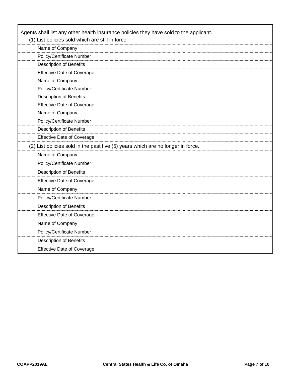| Agents shall list any other health insurance policies they have sold to the applicant.<br>(1) List policies sold which are still in force. |  |  |  |
|--------------------------------------------------------------------------------------------------------------------------------------------|--|--|--|
| Name of Company                                                                                                                            |  |  |  |
| Policy/Certificate Number                                                                                                                  |  |  |  |
| <b>Description of Benefits</b>                                                                                                             |  |  |  |
| <b>Effective Date of Coverage</b>                                                                                                          |  |  |  |
| Name of Company                                                                                                                            |  |  |  |
| Policy/Certificate Number                                                                                                                  |  |  |  |
| <b>Description of Benefits</b>                                                                                                             |  |  |  |
| <b>Effective Date of Coverage</b>                                                                                                          |  |  |  |
| Name of Company                                                                                                                            |  |  |  |
| Policy/Certificate Number                                                                                                                  |  |  |  |
| <b>Description of Benefits</b>                                                                                                             |  |  |  |
| <b>Effective Date of Coverage</b>                                                                                                          |  |  |  |
| (2) List policies sold in the past five (5) years which are no longer in force.                                                            |  |  |  |
| Name of Company                                                                                                                            |  |  |  |
| Policy/Certificate Number                                                                                                                  |  |  |  |
| <b>Description of Benefits</b>                                                                                                             |  |  |  |
| <b>Effective Date of Coverage</b>                                                                                                          |  |  |  |
| Name of Company                                                                                                                            |  |  |  |
| Policy/Certificate Number                                                                                                                  |  |  |  |
| <b>Description of Benefits</b>                                                                                                             |  |  |  |
| <b>Effective Date of Coverage</b>                                                                                                          |  |  |  |
| Name of Company                                                                                                                            |  |  |  |
| Policy/Certificate Number                                                                                                                  |  |  |  |
| <b>Description of Benefits</b>                                                                                                             |  |  |  |
| <b>Effective Date of Coverage</b>                                                                                                          |  |  |  |

 $\mathbf{r}$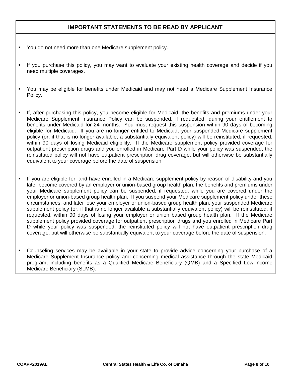### **IMPORTANT STATEMENTS TO BE READ BY APPLICANT**

- You do not need more than one Medicare supplement policy.
- If you purchase this policy, you may want to evaluate your existing health coverage and decide if you need multiple coverages.
- You may be eligible for benefits under Medicaid and may not need a Medicare Supplement Insurance Policy.
- If, after purchasing this policy, you become eligible for Medicaid, the benefits and premiums under your Medicare Supplement Insurance Policy can be suspended, if requested, during your entitlement to benefits under Medicaid for 24 months. You must request this suspension within 90 days of becoming eligible for Medicaid. If you are no longer entitled to Medicaid, your suspended Medicare supplement policy (or, if that is no longer available, a substantially equivalent policy) will be reinstituted, if requested, within 90 days of losing Medicaid eligibility. If the Medicare supplement policy provided coverage for outpatient prescription drugs and you enrolled in Medicare Part D while your policy was suspended, the reinstituted policy will not have outpatient prescription drug coverage, but will otherwise be substantially equivalent to your coverage before the date of suspension.
- If you are eligible for, and have enrolled in a Medicare supplement policy by reason of disability and you later become covered by an employer or union-based group health plan, the benefits and premiums under your Medicare supplement policy can be suspended, if requested, while you are covered under the employer or union-based group health plan. If you suspend your Medicare supplement policy under these circumstances, and later lose your employer or union-based group health plan, your suspended Medicare supplement policy (or, if that is no longer available a substantially equivalent policy) will be reinstituted, if requested, within 90 days of losing your employer or union based group health plan. If the Medicare supplement policy provided coverage for outpatient prescription drugs and you enrolled in Medicare Part D while your policy was suspended, the reinstituted policy will not have outpatient prescription drug coverage, but will otherwise be substantially equivalent to your coverage before the date of suspension.
- Counseling services may be available in your state to provide advice concerning your purchase of a Medicare Supplement Insurance policy and concerning medical assistance through the state Medicaid program, including benefits as a Qualified Medicare Beneficiary (QMB) and a Specified Low-Income Medicare Beneficiary (SLMB).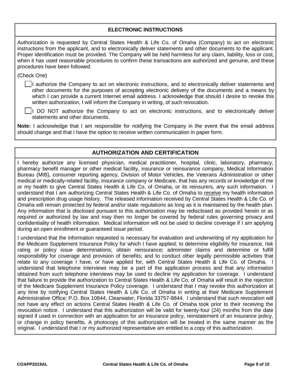| <b>ELECTRONIC INSTRUCTIONS</b>                                                                                                                                                                                                                                                                                                                                                                                                                                                                 |
|------------------------------------------------------------------------------------------------------------------------------------------------------------------------------------------------------------------------------------------------------------------------------------------------------------------------------------------------------------------------------------------------------------------------------------------------------------------------------------------------|
| Authorization is requested by Central States Health & Life Co. of Omaha (Company) to act on electronic<br>instructions from the applicant, and to electronically deliver statements and other documents to the applicant.<br>Proper identification must be provided. The Company will be held harmless for any claim, liability, loss or cost,<br>when it has used reasonable procedures to confirm these transactions are authorized and genuine, and these<br>procedures have been followed. |
| (Check One)                                                                                                                                                                                                                                                                                                                                                                                                                                                                                    |
| I authorize the Company to act on electronic instructions, and to electronically deliver statements and<br>other documents for the purposes of accepting electronic delivery of the documents and a means by<br>which I can provide a current Internet email address. I acknowledge that should I desire to revoke this<br>written authorization, I will inform the Company in writing, of such revocation.                                                                                    |
| DO NOT authorize the Company to act on electronic instructions, and to electronically deliver<br>statements and other documents.                                                                                                                                                                                                                                                                                                                                                               |
| Note: I acknowledge that I am responsible for notifying the Company in the event that the email address<br>should change and that I have the option to receive written communication in paper form.                                                                                                                                                                                                                                                                                            |

## **AUTHORIZATION AND CERTIFICATION**

I hereby authorize any licensed physician, medical practitioner, hospital, clinic, laboratory, pharmacy, pharmacy benefit manager or other medical facility, insurance or reinsurance company, Medical Information Bureau (MIB), consumer reporting agency, Division of Motor Vehicles, the Veterans Administration or other medical or medically-related facility, insurance company or Medicare, that has any records or knowledge of me or my health to give Central States Health & Life Co. of Omaha, or its reinsurers, any such information. I understand that I am authorizing Central States Health & Life Co. of Omaha to receive my health information and prescription drug usage history. The released information received by Central States Health & Life Co. of Omaha will remain protected by federal and/or state regulations as long as it is maintained by the health plan. Any information that is disclosed pursuant to this authorization may be redisclosed as provided herein or as required or authorized by law and may then no longer be covered by federal rules governing privacy and confidentiality of health information. Medical information will not be used to decline coverage if I am applying during an open enrollment or guaranteed issue period.

I understand that the information requested is necessary for evaluation and underwriting of my application for the Medicare Supplement Insurance Policy for which I have applied; to determine eligibility for insurance, risk rating or policy issue determinations; obtain reinsurance; administer claims and determine or fulfill responsibility for coverage and provision of benefits; and to conduct other legally permissible activities that relate to any coverage I have, or have applied for, with Central States Health & Life Co. of Omaha. I understand that telephone interviews may be a part of the application process and that any information obtained from such telephone interviews may be used to decline my application for coverage. I understand that failure to provide the authorization to Central States Health & Life Co. of Omaha *will* result in the rejection of the Medicare Supplement Insurance Policy coverage. I understand that I may revoke this authorization at any time by notifying Central States Health & Life Co. of Omaha in writing at their Medicare Supplement Administrative Office: P.O. Box 10844, Clearwater, Florida 33757-8844. I understand that such revocation will not have any effect on actions Central States Health & Life Co. of Omaha took prior to their receiving the revocation notice. I understand that this authorization will be valid for twenty-four (24) months from the date signed if used in connection with an application for an insurance policy, reinstatement of an insurance policy, or change in policy benefits. A photocopy of this authorization will be treated in the same manner as the original. I understand that I or my authorized representative am entitled to a copy of this authorization.